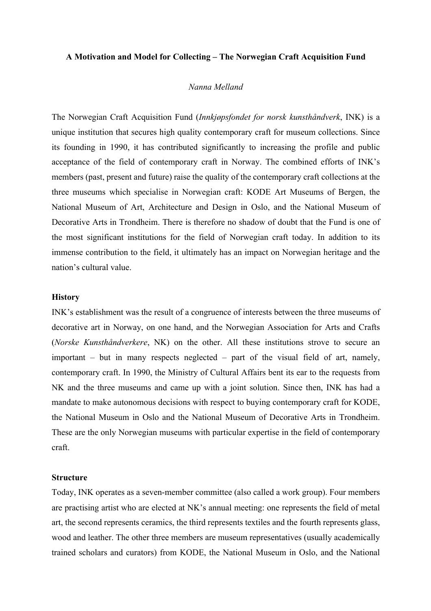#### **A Motivation and Model for Collecting – The Norwegian Craft Acquisition Fund**

#### *Nanna Melland*

The Norwegian Craft Acquisition Fund (*Innkjøpsfondet for norsk kunsthåndverk*, INK) is a unique institution that secures high quality contemporary craft for museum collections. Since its founding in 1990, it has contributed significantly to increasing the profile and public acceptance of the field of contemporary craft in Norway. The combined efforts of INK's members (past, present and future) raise the quality of the contemporary craft collections at the three museums which specialise in Norwegian craft: KODE Art Museums of Bergen, the National Museum of Art, Architecture and Design in Oslo, and the National Museum of Decorative Arts in Trondheim. There is therefore no shadow of doubt that the Fund is one of the most significant institutions for the field of Norwegian craft today. In addition to its immense contribution to the field, it ultimately has an impact on Norwegian heritage and the nation's cultural value.

## **History**

INK's establishment was the result of a congruence of interests between the three museums of decorative art in Norway, on one hand, and the Norwegian Association for Arts and Crafts (*Norske Kunsthåndverkere*, NK) on the other. All these institutions strove to secure an important – but in many respects neglected – part of the visual field of art, namely, contemporary craft. In 1990, the Ministry of Cultural Affairs bent its ear to the requests from NK and the three museums and came up with a joint solution. Since then, INK has had a mandate to make autonomous decisions with respect to buying contemporary craft for KODE, the National Museum in Oslo and the National Museum of Decorative Arts in Trondheim. These are the only Norwegian museums with particular expertise in the field of contemporary craft.

#### **Structure**

Today, INK operates as a seven-member committee (also called a work group). Four members are practising artist who are elected at NK's annual meeting: one represents the field of metal art, the second represents ceramics, the third represents textiles and the fourth represents glass, wood and leather. The other three members are museum representatives (usually academically trained scholars and curators) from KODE, the National Museum in Oslo, and the National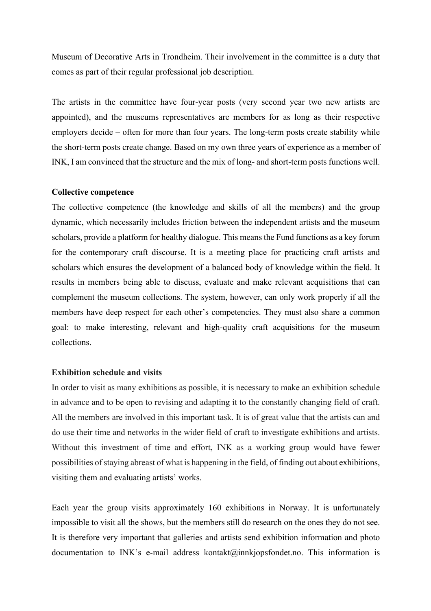Museum of Decorative Arts in Trondheim. Their involvement in the committee is a duty that comes as part of their regular professional job description.

The artists in the committee have four-year posts (very second year two new artists are appointed), and the museums representatives are members for as long as their respective employers decide – often for more than four years. The long-term posts create stability while the short-term posts create change. Based on my own three years of experience as a member of INK, I am convinced that the structure and the mix of long- and short-term posts functions well.

### **Collective competence**

The collective competence (the knowledge and skills of all the members) and the group dynamic, which necessarily includes friction between the independent artists and the museum scholars, provide a platform for healthy dialogue. This means the Fund functions as a key forum for the contemporary craft discourse. It is a meeting place for practicing craft artists and scholars which ensures the development of a balanced body of knowledge within the field. It results in members being able to discuss, evaluate and make relevant acquisitions that can complement the museum collections. The system, however, can only work properly if all the members have deep respect for each other's competencies. They must also share a common goal: to make interesting, relevant and high-quality craft acquisitions for the museum collections.

### **Exhibition schedule and visits**

In order to visit as many exhibitions as possible, it is necessary to make an exhibition schedule in advance and to be open to revising and adapting it to the constantly changing field of craft. All the members are involved in this important task. It is of great value that the artists can and do use their time and networks in the wider field of craft to investigate exhibitions and artists. Without this investment of time and effort, INK as a working group would have fewer possibilities of staying abreast of what is happening in the field, of finding out about exhibitions, visiting them and evaluating artists' works.

Each year the group visits approximately 160 exhibitions in Norway. It is unfortunately impossible to visit all the shows, but the members still do research on the ones they do not see. It is therefore very important that galleries and artists send exhibition information and photo documentation to INK's e-mail address kontakt@innkjopsfondet.no. This information is